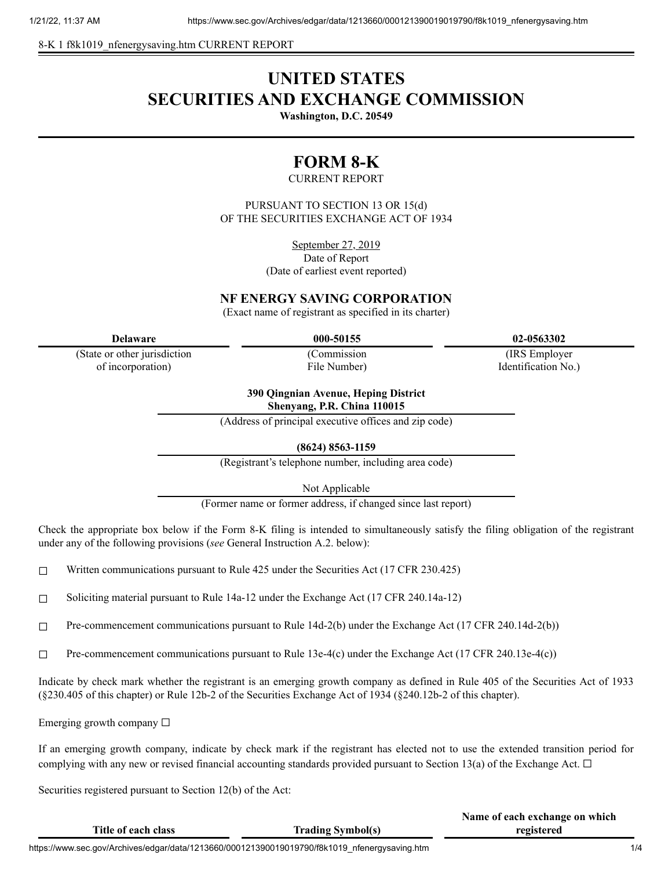8-K 1 f8k1019 nfenergysaving.htm CURRENT REPORT

# **UNITED STATES SECURITIES AND EXCHANGE COMMISSION**

**Washington, D.C. 20549**

## **FORM 8-K**

#### CURRENT REPORT

PURSUANT TO SECTION 13 OR 15(d) OF THE SECURITIES EXCHANGE ACT OF 1934

> September 27, 2019 Date of Report (Date of earliest event reported)

## **NF ENERGY SAVING CORPORATION**

(Exact name of registrant as specified in its charter)

(State or other jurisdiction of incorporation)

(Commission File Number)

**Delaware 000-50155 02-0563302**

(IRS Employer Identification No.)

**Name of each exchange on which**

**390 Qingnian Avenue, Heping District**

**Shenyang, P.R. China 110015**

(Address of principal executive offices and zip code)

**(8624) 8563-1159**

(Registrant's telephone number, including area code)

Not Applicable

(Former name or former address, if changed since last report)

Check the appropriate box below if the Form 8-K filing is intended to simultaneously satisfy the filing obligation of the registrant under any of the following provisions (*see* General Instruction A.2. below):

- $\Box$  Written communications pursuant to Rule 425 under the Securities Act (17 CFR 230.425)
- ☐ Soliciting material pursuant to Rule 14a-12 under the Exchange Act (17 CFR 240.14a-12)
- $\Box$  Pre-commencement communications pursuant to Rule 14d-2(b) under the Exchange Act (17 CFR 240.14d-2(b))
- $\Box$  Pre-commencement communications pursuant to Rule 13e-4(c) under the Exchange Act (17 CFR 240.13e-4(c))

Indicate by check mark whether the registrant is an emerging growth company as defined in Rule 405 of the Securities Act of 1933 (§230.405 of this chapter) or Rule 12b-2 of the Securities Exchange Act of 1934 (§240.12b-2 of this chapter).

Emerging growth company  $\Box$ 

If an emerging growth company, indicate by check mark if the registrant has elected not to use the extended transition period for complying with any new or revised financial accounting standards provided pursuant to Section 13(a) of the Exchange Act.  $\Box$ 

Securities registered pursuant to Section 12(b) of the Act:

| Title of each class                                                                           | <b>Trading Symbol(s)</b> | <b>Traint of cach exemange on which</b><br>registered |     |
|-----------------------------------------------------------------------------------------------|--------------------------|-------------------------------------------------------|-----|
| https://www.sec.gov/Archives/edgar/data/1213660/000121390019019790/f8k1019 nfenergysaving.htm |                          |                                                       | 1/4 |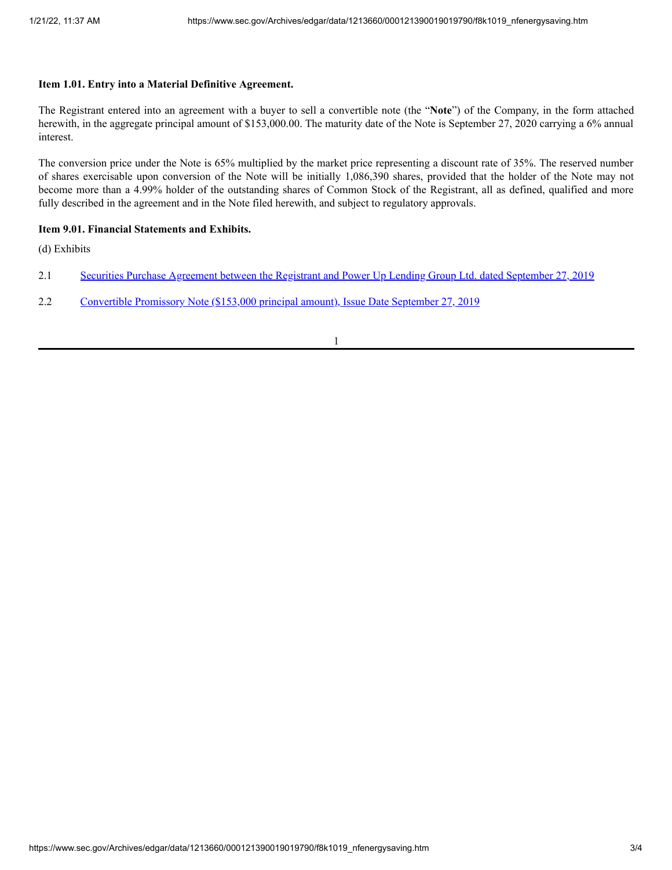### **Item 1.01. Entry into a Material Definitive Agreement.**

The Registrant entered into an agreement with a buyer to sell a convertible note (the "**Note**") of the Company, in the form attached herewith, in the aggregate principal amount of \$153,000.00. The maturity date of the Note is September 27, 2020 carrying a 6% annual interest.

The conversion price under the Note is 65% multiplied by the market price representing a discount rate of 35%. The reserved number of shares exercisable upon conversion of the Note will be initially 1,086,390 shares, provided that the holder of the Note may not become more than a 4.99% holder of the outstanding shares of Common Stock of the Registrant, all as defined, qualified and more fully described in the agreement and in the Note filed herewith, and subject to regulatory approvals.

#### **Item 9.01. Financial Statements and Exhibits.**

(d) Exhibits

- 2.1 Securities Purchase [Agreement](https://www.sec.gov/Archives/edgar/data/1213660/000121390019019790/f8k1019ex2-1_nfenergy.htm) between the Registrant and Power Up Lending Group Ltd. dated September 27, 2019
- 2.2 [Convertible](https://www.sec.gov/Archives/edgar/data/1213660/000121390019019790/f8k1019ex2-2_nfenergy.htm) Promissory Note (\$153,000 principal amount), Issue Date September 27, 2019